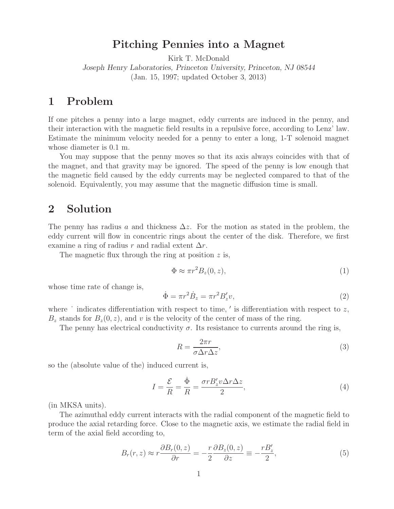## **Pitching Pennies into a Magnet**

Kirk T. McDonald

*Joseph Henry Laboratories, Princeton University, Princeton, NJ 08544* (Jan. 15, 1997; updated October 3, 2013)

## **1 Problem**

If one pitches a penny into a large magnet, eddy currents are induced in the penny, and their interaction with the magnetic field results in a repulsive force, according to Lenz' law. Estimate the minimum velocity needed for a penny to enter a long, 1-T solenoid magnet whose diameter is 0.1 m.

You may suppose that the penny moves so that its axis always coincides with that of the magnet, and that gravity may be ignored. The speed of the penny is low enough that the magnetic field caused by the eddy currents may be neglected compared to that of the solenoid. Equivalently, you may assume that the magnetic diffusion time is small.

#### **2 Solution**

The penny has radius a and thickness  $\Delta z$ . For the motion as stated in the problem, the eddy current will flow in concentric rings about the center of the disk. Therefore, we first examine a ring of radius r and radial extent  $\Delta r$ .

The magnetic flux through the ring at position  $z$  is,

$$
\Phi \approx \pi r^2 B_z(0, z),\tag{1}
$$

whose time rate of change is,

$$
\dot{\Phi} = \pi r^2 \dot{B}_z = \pi r^2 B'_z v,\tag{2}
$$

where  $\dot{\phantom{a}}$  indicates differentiation with respect to time,  $\dot{\phantom{a}}$  is differentiation with respect to  $z$ ,  $B<sub>z</sub>$  stands for  $B<sub>z</sub>(0, z)$ , and v is the velocity of the center of mass of the ring.

The penny has electrical conductivity  $\sigma$ . Its resistance to currents around the ring is,

$$
R = \frac{2\pi r}{\sigma \Delta r \Delta z},\tag{3}
$$

so the (absolute value of the) induced current is,

$$
I = \frac{\mathcal{E}}{R} = \frac{\dot{\Phi}}{R} = \frac{\sigma r B_z' v \Delta r \Delta z}{2},\tag{4}
$$

(in MKSA units).

The azimuthal eddy current interacts with the radial component of the magnetic field to produce the axial retarding force. Close to the magnetic axis, we estimate the radial field in term of the axial field according to,

$$
B_r(r,z) \approx r \frac{\partial B_r(0,z)}{\partial r} = -\frac{r}{2} \frac{\partial B_z(0,z)}{\partial z} \equiv -\frac{rB'_z}{2},\tag{5}
$$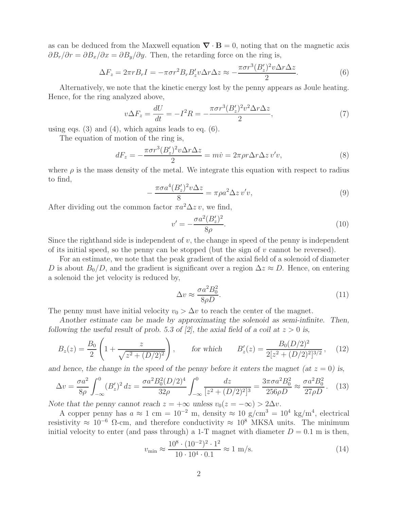as can be deduced from the Maxwell equation  $\nabla \cdot \mathbf{B} = 0$ , noting that on the magnetic axis  $\partial B_r/\partial r = \partial B_x/\partial x = \partial B_y/\partial y$ . Then, the retarding force on the ring is,

$$
\Delta F_z = 2\pi r B_r I = -\pi \sigma r^2 B_r B_z' v \Delta r \Delta z \approx -\frac{\pi \sigma r^3 (B_z')^2 v \Delta r \Delta z}{2}.
$$
\n(6)

Alternatively, we note that the kinetic energy lost by the penny appears as Joule heating. Hence, for the ring analyzed above,

$$
v\Delta F_z = \frac{dU}{dt} = -I^2 R = -\frac{\pi\sigma r^3 (B_z')^2 v^2 \Delta r \Delta z}{2},\tag{7}
$$

using eqs.  $(3)$  and  $(4)$ , which agains leads to eq.  $(6)$ .

The equation of motion of the ring is,

$$
dF_z = -\frac{\pi \sigma r^3 (B_z')^2 v \Delta r \Delta z}{2} = m\dot{v} = 2\pi \rho r \Delta r \Delta z v'v,\tag{8}
$$

where  $\rho$  is the mass density of the metal. We integrate this equation with respect to radius to find,

$$
-\frac{\pi\sigma a^4 (B_z')^2 v \Delta z}{8} = \pi\rho a^2 \Delta z v'v,\tag{9}
$$

After dividing out the common factor  $\pi a^2 \Delta z v$ , we find,

$$
v' = -\frac{\sigma a^2 (B_z')^2}{8\rho}.
$$
\n(10)

Since the righthand side is independent of  $v$ , the change in speed of the penny is independent of its initial speed, so the penny can be stopped (but the sign of  $v$  cannot be reversed).

For an estimate, we note that the peak gradient of the axial field of a solenoid of diameter D is about  $B_0/D$ , and the gradient is significant over a region  $\Delta z \approx D$ . Hence, on entering a solenoid the jet velocity is reduced by,

$$
\Delta v \approx \frac{\sigma a^2 B_0^2}{8\rho D}.\tag{11}
$$

The penny must have initial velocity  $v_0 > \Delta v$  to reach the center of the magnet.

*Another estimate can be made by approximating the solenoid as semi-infinite. Then, following the useful result of prob.* 5.3 of [2], the axial field of a coil at  $z > 0$  is,

$$
B_z(z) = \frac{B_0}{2} \left( 1 + \frac{z}{\sqrt{z^2 + (D/2)^2}} \right), \qquad \text{for which} \qquad B'_z(z) = \frac{B_0 (D/2)^2}{2[z^2 + (D/2)^2]^{3/2}}, \quad (12)
$$

and hence, the change in the speed of the penny before it enters the magnet (at  $z = 0$ ) is,

$$
\Delta v = \frac{\sigma a^2}{8\rho} \int_{-\infty}^0 (B_z')^2 dz = \frac{\sigma a^2 B_0^2 (D/2)^4}{32\rho} \int_{-\infty}^0 \frac{dz}{[z^2 + (D/2)^2]^3} = \frac{3\pi \sigma a^2 B_0^2}{256\rho D} \approx \frac{\sigma a^2 B_0^2}{27\rho D}.
$$
 (13)

*Note that the penny cannot reach*  $z = +\infty$  *unless*  $v_0(z = -\infty) > 2\Delta v$ .

A copper penny has  $a \approx 1$  cm =  $10^{-2}$  m, density  $\approx 10$  g/cm<sup>3</sup> =  $10^4$  kg/m<sup>4</sup>, electrical resistivity  $\approx 10^{-6}$  Ω-cm, and therefore conductivity  $\approx 10^8$  MKSA units. The minimum initial velocity to enter (and pass through) a 1-T magnet with diameter  $D = 0.1$  m is then,

$$
v_{\min} \approx \frac{10^8 \cdot (10^{-2})^2 \cdot 1^2}{10 \cdot 10^4 \cdot 0.1} \approx 1 \text{ m/s.}
$$
 (14)